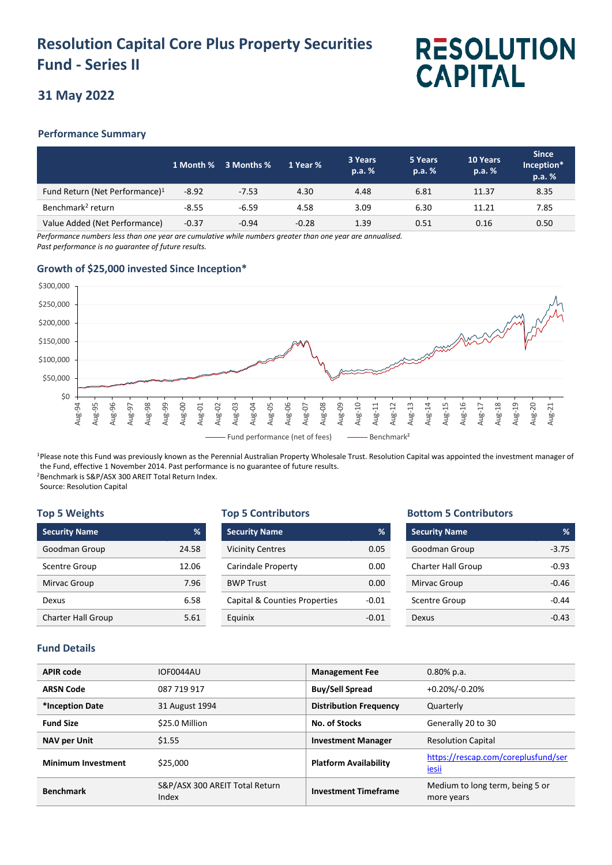## **Resolution Capital Core Plus Property Securities Fund - Series II**

# **RESOLUTION CAPITAL**

### **31 May 2022**

#### **Performance Summary**

|                                            |         | 1 Month % 3 Months % | 1 Year % | 3 Years<br>p.a. % | 5 Years<br>p.a. % | 10 Years<br>p.a. % | <b>Since</b><br>Inception*<br>p.a. % |
|--------------------------------------------|---------|----------------------|----------|-------------------|-------------------|--------------------|--------------------------------------|
| Fund Return (Net Performance) <sup>1</sup> | $-8.92$ | $-7.53$              | 4.30     | 4.48              | 6.81              | 11.37              | 8.35                                 |
| Benchmark <sup>2</sup> return              | $-8.55$ | $-6.59$              | 4.58     | 3.09              | 6.30              | 11.21              | 7.85                                 |
| Value Added (Net Performance)              | $-0.37$ | $-0.94$              | $-0.28$  | 1.39              | 0.51              | 0.16               | 0.50                                 |

*Performance numbers less than one year are cumulative while numbers greater than one year are annualised. Past performance is no guarantee of future results.*

#### **Growth of \$25,000 invested Since Inception\***



<sup>1</sup>Please note this Fund was previously known as the Perennial Australian Property Wholesale Trust. Resolution Capital was appointed the investment manager of the Fund, effective 1 November 2014. Past performance is no guarantee of future results. <sup>2</sup>Benchmark is S&P/ASX 300 AREIT Total Return Index.

Source: Resolution Capital

#### **Top 5 Weights**

| <b>Security Name</b>      | %     |
|---------------------------|-------|
| Goodman Group             | 24.58 |
| <b>Scentre Group</b>      | 12.06 |
| Mirvac Group              | 7.96  |
| Dexus                     | 6.58  |
| <b>Charter Hall Group</b> | 5.61  |

#### **Top 5 Contributors**

| <b>Security Name</b>          | %       |
|-------------------------------|---------|
| <b>Vicinity Centres</b>       | 0.05    |
| Carindale Property            | 0.00    |
| <b>BWP Trust</b>              | 0.00    |
| Capital & Counties Properties | $-0.01$ |
| Equinix                       | -0.01   |

#### **Bottom 5 Contributors**

| <b>Security Name</b>      | ℅       |
|---------------------------|---------|
| Goodman Group             | $-3.75$ |
| <b>Charter Hall Group</b> | $-0.93$ |
| Mirvac Group              | $-0.46$ |
| <b>Scentre Group</b>      | -0.44   |
| Dexus                     |         |

#### **Fund Details**

| <b>APIR code</b>          | IOF0044AU                               | <b>Management Fee</b>         | $0.80\%$ p.a.                                 |
|---------------------------|-----------------------------------------|-------------------------------|-----------------------------------------------|
| <b>ARSN Code</b>          | 087 719 917                             | <b>Buy/Sell Spread</b>        | +0.20%/-0.20%                                 |
| *Inception Date           | 31 August 1994                          | <b>Distribution Frequency</b> | Quarterly                                     |
| <b>Fund Size</b>          | \$25.0 Million                          | No. of Stocks                 | Generally 20 to 30                            |
| <b>NAV per Unit</b>       | \$1.55                                  | <b>Investment Manager</b>     | <b>Resolution Capital</b>                     |
| <b>Minimum Investment</b> | \$25,000                                | <b>Platform Availability</b>  | https://rescap.com/coreplusfund/ser<br>iesii  |
| <b>Benchmark</b>          | S&P/ASX 300 AREIT Total Return<br>Index | <b>Investment Timeframe</b>   | Medium to long term, being 5 or<br>more years |